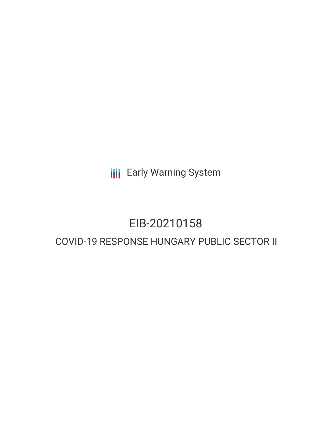**III** Early Warning System

# EIB-20210158

# COVID-19 RESPONSE HUNGARY PUBLIC SECTOR II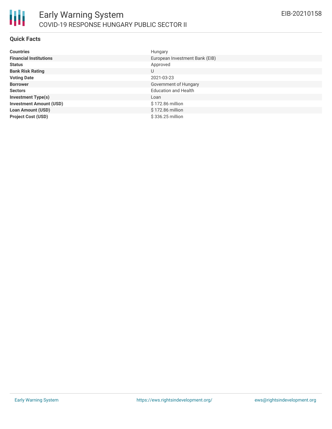

#### **Quick Facts**

| <b>Countries</b>               | Hungary                        |
|--------------------------------|--------------------------------|
| <b>Financial Institutions</b>  | European Investment Bank (EIB) |
| <b>Status</b>                  | Approved                       |
| <b>Bank Risk Rating</b>        | U                              |
| <b>Voting Date</b>             | 2021-03-23                     |
| <b>Borrower</b>                | Government of Hungary          |
| <b>Sectors</b>                 | <b>Education and Health</b>    |
| <b>Investment Type(s)</b>      | Loan                           |
| <b>Investment Amount (USD)</b> | \$172.86 million               |
| <b>Loan Amount (USD)</b>       | \$172.86 million               |
| <b>Project Cost (USD)</b>      | \$336.25 million               |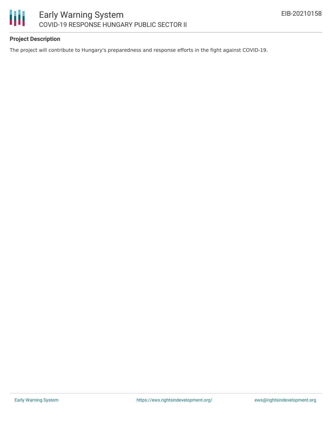

## **Project Description**

The project will contribute to Hungary's preparedness and response efforts in the fight against COVID-19.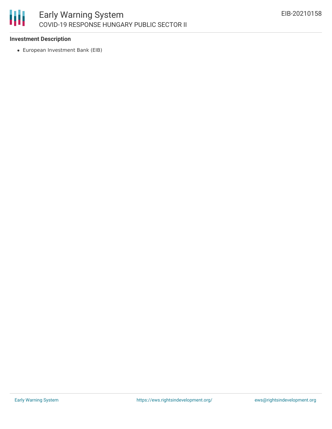

#### **Investment Description**

European Investment Bank (EIB)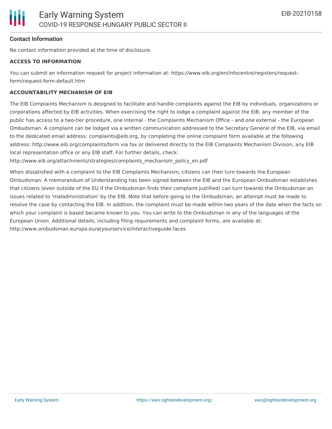#### **Contact Information**

No contact information provided at the time of disclosure.

#### **ACCESS TO INFORMATION**

You can submit an information request for project information at: https://www.eib.org/en/infocentre/registers/requestform/request-form-default.htm

#### **ACCOUNTABILITY MECHANISM OF EIB**

The EIB Complaints Mechanism is designed to facilitate and handle complaints against the EIB by individuals, organizations or corporations affected by EIB activities. When exercising the right to lodge a complaint against the EIB, any member of the public has access to a two-tier procedure, one internal - the Complaints Mechanism Office - and one external - the European Ombudsman. A complaint can be lodged via a written communication addressed to the Secretary General of the EIB, via email to the dedicated email address: complaints@eib.org, by completing the online complaint form available at the following address: http://www.eib.org/complaints/form via fax or delivered directly to the EIB Complaints Mechanism Division, any EIB local representation office or any EIB staff. For further details, check:

http://www.eib.org/attachments/strategies/complaints\_mechanism\_policy\_en.pdf

When dissatisfied with a complaint to the EIB Complaints Mechanism, citizens can then turn towards the European Ombudsman. A memorandum of Understanding has been signed between the EIB and the European Ombudsman establishes that citizens (even outside of the EU if the Ombudsman finds their complaint justified) can turn towards the Ombudsman on issues related to 'maladministration' by the EIB. Note that before going to the Ombudsman, an attempt must be made to resolve the case by contacting the EIB. In addition, the complaint must be made within two years of the date when the facts on which your complaint is based became known to you. You can write to the Ombudsman in any of the languages of the European Union. Additional details, including filing requirements and complaint forms, are available at: http://www.ombudsman.europa.eu/atyourservice/interactiveguide.faces